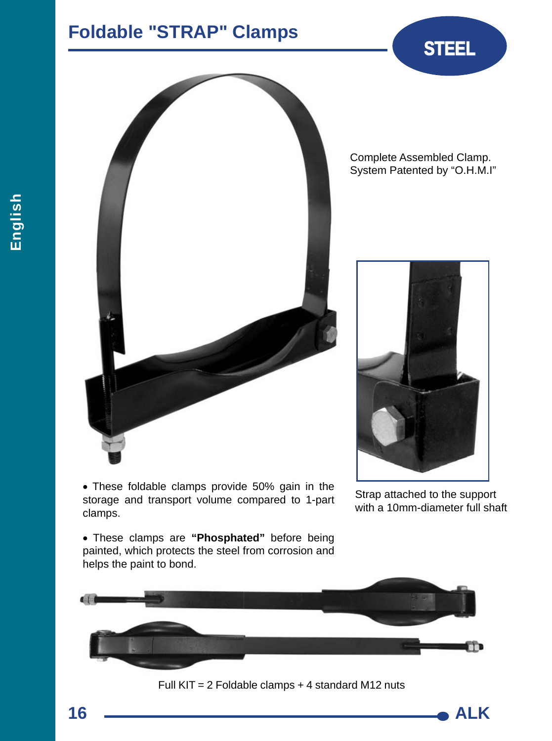## **Foldable "STRAP" Clamps <b>STEEL**



Complete Assembled Clamp. System Patented by "O.H.M.I"



 These foldable clamps provide 50% gain in the storage and transport volume compared to 1-part clamps.

Strap attached to the support with a 10mm-diameter full shaft

 These clamps are **"Phosphated"** before being painted, which protects the steel from corrosion and helps the paint to bond.